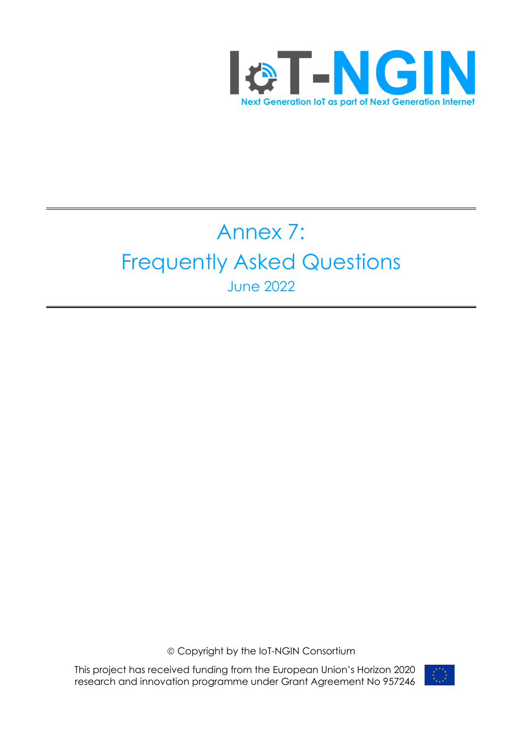

# Annex 7: Frequently Asked Questions June 2022

ã Copyright by the IoT-NGIN Consortium

This project has received funding from the European Union's Horizon 2020 research and innovation programme under Grant Agreement No 957246

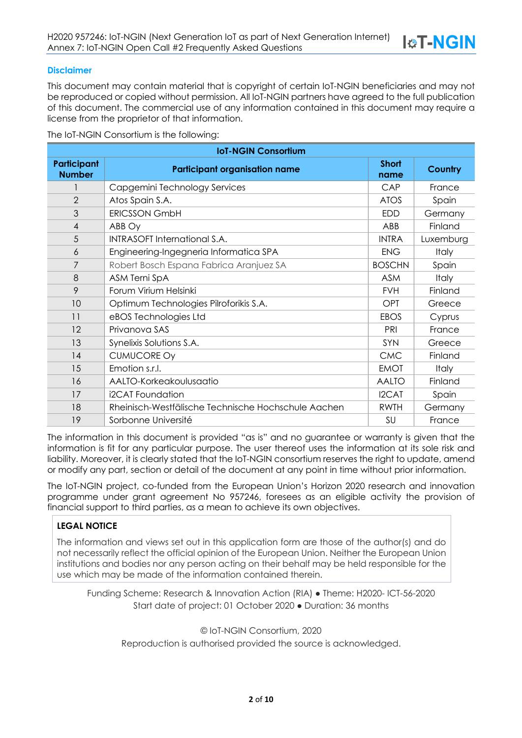#### **Disclaimer**

This document may contain material that is copyright of certain IoT-NGIN beneficiaries and may not be reproduced or copied without permission. All IoT-NGIN partners have agreed to the full publication of this document. The commercial use of any information contained in this document may require a license from the proprietor of that information.

The IoT-NGIN Consortium is the following:

| <b>IoT-NGIN Consortium</b>          |                                                     |                      |              |  |
|-------------------------------------|-----------------------------------------------------|----------------------|--------------|--|
| <b>Participant</b><br><b>Number</b> | <b>Participant organisation name</b>                | <b>Short</b><br>name | Country      |  |
|                                     | Capgemini Technology Services                       | CAP                  | France       |  |
| $\overline{2}$                      | Atos Spain S.A.                                     | <b>ATOS</b>          | Spain        |  |
| 3                                   | <b>ERICSSON GmbH</b>                                | <b>EDD</b>           | Germany      |  |
| $\overline{4}$                      | ABB Oy                                              | ABB                  | Finland      |  |
| 5                                   | <b>INTRASOFT International S.A.</b>                 | <b>INTRA</b>         | Luxemburg    |  |
| 6                                   | Engineering-Ingegneria Informatica SPA              | <b>ENG</b>           | <b>Italy</b> |  |
| 7                                   | Robert Bosch Espana Fabrica Aranjuez SA             | <b>BOSCHN</b>        | Spain        |  |
| 8                                   | ASM Terni SpA                                       | <b>ASM</b>           | <b>Italy</b> |  |
| 9                                   | Forum Virium Helsinki                               | <b>FVH</b>           | Finland      |  |
| 10                                  | Optimum Technologies Pilroforikis S.A.              | OPT                  | Greece       |  |
| 11                                  | eBOS Technologies Ltd                               | <b>EBOS</b>          | Cyprus       |  |
| 12                                  | Privanova SAS                                       | PRI                  | France       |  |
| 13                                  | Synelixis Solutions S.A.                            | SYN                  | Greece       |  |
| 14                                  | <b>CUMUCORE Oy</b>                                  | <b>CMC</b>           | Finland      |  |
| 15                                  | Emotion s.r.l.                                      | <b>EMOT</b>          | <b>Italy</b> |  |
| 16                                  | AALTO-Korkeakoulusaatio                             | <b>AALTO</b>         | Finland      |  |
| 17                                  | i2CAT Foundation                                    | I2CAT                | Spain        |  |
| 18                                  | Rheinisch-Westfälische Technische Hochschule Aachen | <b>RWTH</b>          | Germany      |  |
| 19                                  | Sorbonne Université                                 | SU                   | France       |  |

The information in this document is provided "as is" and no guarantee or warranty is given that the information is fit for any particular purpose. The user thereof uses the information at its sole risk and liability. Moreover, it is clearly stated that the IoT-NGIN consortium reserves the right to update, amend or modify any part, section or detail of the document at any point in time without prior information.

The IoT-NGIN project, co-funded from the European Union's Horizon 2020 research and innovation programme under grant agreement No 957246, foresees as an eligible activity the provision of financial support to third parties, as a mean to achieve its own objectives.

### **LEGAL NOTICE**

The information and views set out in this application form are those of the author(s) and do not necessarily reflect the official opinion of the European Union. Neither the European Union institutions and bodies nor any person acting on their behalf may be held responsible for the use which may be made of the information contained therein.

Funding Scheme: Research & Innovation Action (RIA) ● Theme: H2020- ICT-56-2020 Start date of project: 01 October 2020 ● Duration: 36 months

© IoT-NGIN Consortium, 2020 Reproduction is authorised provided the source is acknowledged.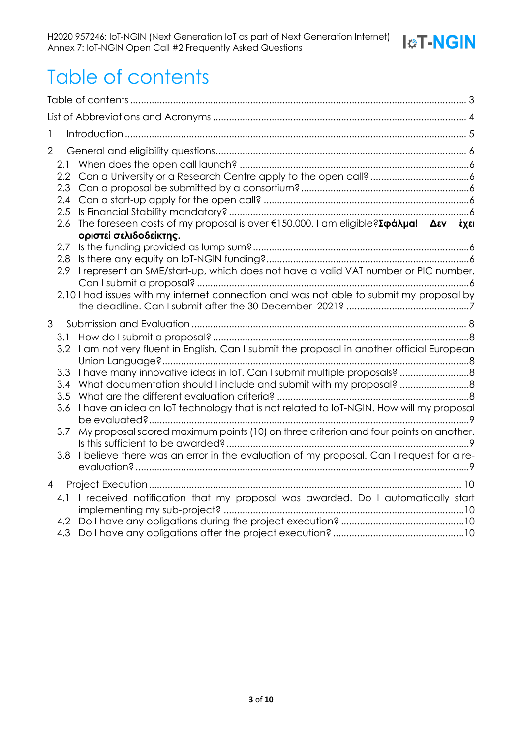## Table of contents

| 1              |                                                                   |                                                                                                                                                                                                                                                                                                                                                                                                                                              |  |
|----------------|-------------------------------------------------------------------|----------------------------------------------------------------------------------------------------------------------------------------------------------------------------------------------------------------------------------------------------------------------------------------------------------------------------------------------------------------------------------------------------------------------------------------------|--|
| $\overline{2}$ | 2.1<br>$2.2\phantom{0}$<br>2.3<br>2.4<br>2.5<br>2.6<br>2.7<br>2.8 | The foreseen costs of my proposal is over $\epsilon$ 150.000. I am eligible? $\Sigma \varphi d\lambda \mu d!$ $\Delta \epsilon v$ $\epsilon \chi \epsilon$<br>οριστεί σελιδοδείκτης.                                                                                                                                                                                                                                                         |  |
|                | 2.9                                                               | I represent an SME/start-up, which does not have a valid VAT number or PIC number.<br>2.10 I had issues with my internet connection and was not able to submit my proposal by                                                                                                                                                                                                                                                                |  |
| 3              | 3.1<br>3.3<br>3.4<br>3.5<br>3.6<br>3.7<br>3.8                     | 3.2 I am not very fluent in English. Can I submit the proposal in another official European<br>What documentation should I include and submit with my proposal?<br>I have an idea on IoT technology that is not related to IoT-NGIN. How will my proposal<br>My proposal scored maximum points (10) on three criterion and four points on another.<br>I believe there was an error in the evaluation of my proposal. Can I request for a re- |  |
| $\overline{4}$ | 4.1<br>4.3                                                        | I received notification that my proposal was awarded. Do I automatically start                                                                                                                                                                                                                                                                                                                                                               |  |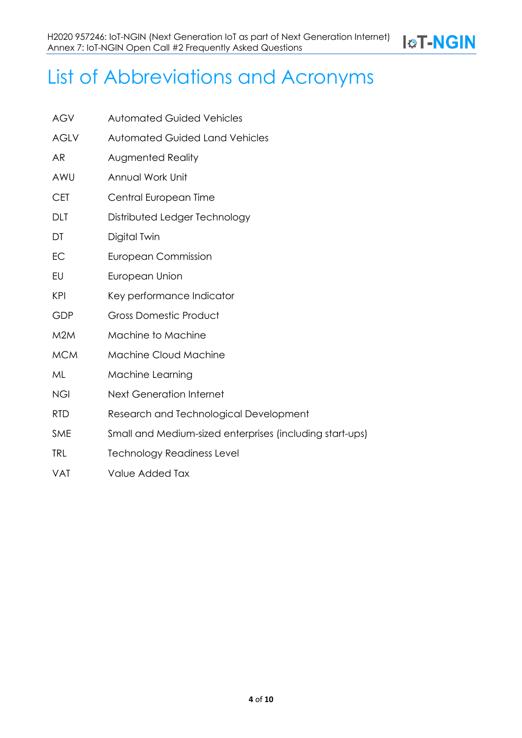**I&T-NGIN** 

# List of Abbreviations and Acronyms

| <b>AGV</b>  | <b>Automated Guided Vehicles</b>                         |  |
|-------------|----------------------------------------------------------|--|
| <b>AGLV</b> | <b>Automated Guided Land Vehicles</b>                    |  |
| AR          | <b>Augmented Reality</b>                                 |  |
| AWU         | Annual Work Unit                                         |  |
| <b>CET</b>  | Central European Time                                    |  |
| DLT         | Distributed Ledger Technology                            |  |
| DT          | Digital Twin                                             |  |
| EC          | <b>European Commission</b>                               |  |
| EU          | European Union                                           |  |
| <b>KPI</b>  | Key performance Indicator                                |  |
| GDP         | <b>Gross Domestic Product</b>                            |  |
| M2M         | Machine to Machine                                       |  |
| <b>MCM</b>  | <b>Machine Cloud Machine</b>                             |  |
| ML          | Machine Learning                                         |  |
| <b>NGI</b>  | <b>Next Generation Internet</b>                          |  |
| <b>RTD</b>  | Research and Technological Development                   |  |
| <b>SME</b>  | Small and Medium-sized enterprises (including start-ups) |  |
| <b>TRL</b>  | <b>Technology Readiness Level</b>                        |  |
| <b>VAT</b>  | Value Added Tax                                          |  |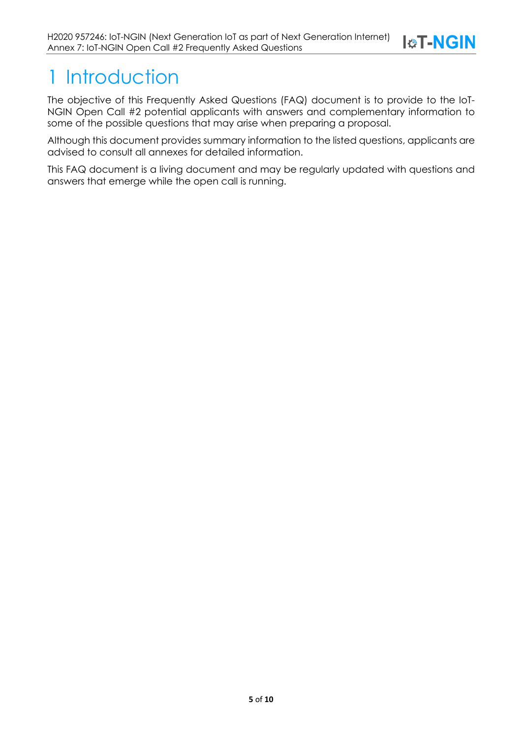

## 1 Introduction

The objective of this Frequently Asked Questions (FAQ) document is to provide to the IoT-NGIN Open Call #2 potential applicants with answers and complementary information to some of the possible questions that may arise when preparing a proposal.

Although this document provides summary information to the listed questions, applicants are advised to consult all annexes for detailed information.

This FAQ document is a living document and may be regularly updated with questions and answers that emerge while the open call is running.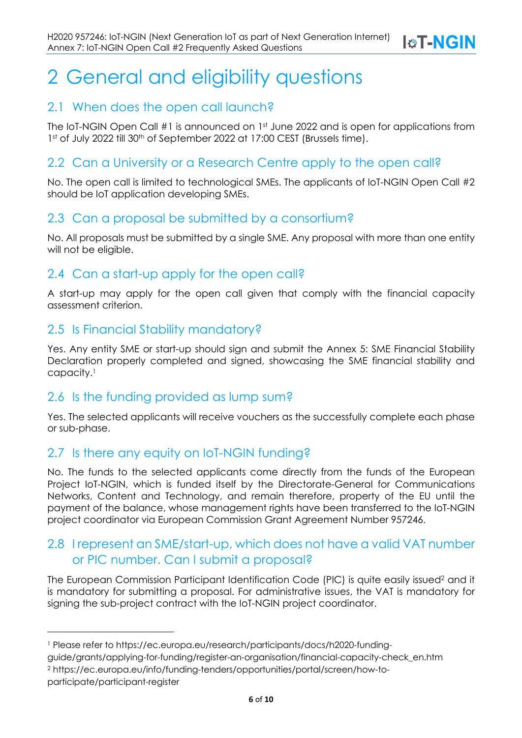**I&T-NGIN** 

## 2 General and eligibility questions

### 2.1 When does the open call launch?

The IoT-NGIN Open Call #1 is announced on 1<sup>st</sup> June 2022 and is open for applications from 1st of July 2022 till 30<sup>th</sup> of September 2022 at 17:00 CEST (Brussels time).

### 2.2 Can a University or a Research Centre apply to the open call?

No. The open call is limited to technological SMEs. The applicants of IoT-NGIN Open Call #2 should be IoT application developing SMEs.

### 2.3 Can a proposal be submitted by a consortium?

No. All proposals must be submitted by a single SME. Any proposal with more than one entity will not be eligible.

### 2.4 Can a start-up apply for the open call?

A start-up may apply for the open call given that comply with the financial capacity assessment criterion.

### 2.5 Is Financial Stability mandatory?

Yes. Any entity SME or start-up should sign and submit the Annex 5: SME Financial Stability Declaration properly completed and signed, showcasing the SME financial stability and capacity.1

### 2.6 Is the funding provided as lump sum?

Yes. The selected applicants will receive vouchers as the successfully complete each phase or sub-phase.

### 2.7 Is there any equity on IoT-NGIN funding?

No. The funds to the selected applicants come directly from the funds of the European Project IoT-NGIN, which is funded itself by the Directorate-General for Communications Networks, Content and Technology, and remain therefore, property of the EU until the payment of the balance, whose management rights have been transferred to the IoT-NGIN project coordinator via European Commission Grant Agreement Number 957246.

### 2.8 I represent an SME/start-up, which does not have a valid VAT number or PIC number. Can I submit a proposal?

The European Commission Participant Identification Code (PIC) is quite easily issued<sup>2</sup> and it is mandatory for submitting a proposal. For administrative issues, the VAT is mandatory for signing the sub-project contract with the IoT-NGIN project coordinator.

<sup>1</sup> Please refer to https://ec.europa.eu/research/participants/docs/h2020-funding-

guide/grants/applying-for-funding/register-an-organisation/financial-capacity-check\_en.htm

<sup>2</sup> https://ec.europa.eu/info/funding-tenders/opportunities/portal/screen/how-to-

participate/participant-register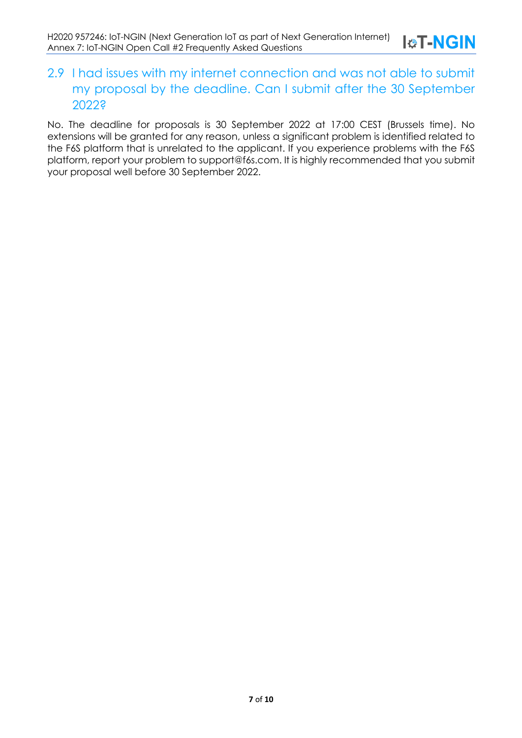### 2.9 I had issues with my internet connection and was not able to submit my proposal by the deadline. Can I submit after the 30 September 2022?

No. The deadline for proposals is 30 September 2022 at 17:00 CEST (Brussels time). No extensions will be granted for any reason, unless a significant problem is identified related to the F6S platform that is unrelated to the applicant. If you experience problems with the F6S platform, report your problem to support@f6s.com. It is highly recommended that you submit your proposal well before 30 September 2022.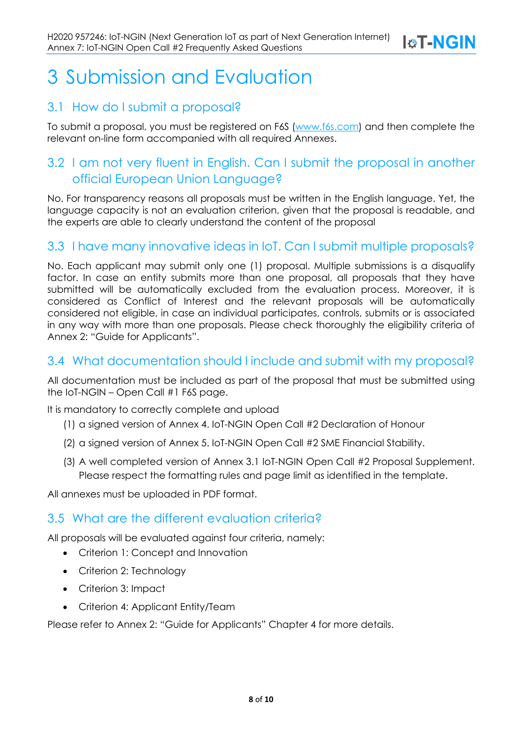## **I&T-NGIN**

## 3 Submission and Evaluation

### 3.1 How do I submit a proposal?

To submit a proposal, you must be registered on F6S (www.f6s.com) and then complete the relevant on-line form accompanied with all required Annexes.

## 3.2 I am not very fluent in English. Can I submit the proposal in another official European Union Language?

No. For transparency reasons all proposals must be written in the English language. Yet, the language capacity is not an evaluation criterion, given that the proposal is readable, and the experts are able to clearly understand the content of the proposal

### 3.3 I have many innovative ideas in IoT. Can I submit multiple proposals?

No. Each applicant may submit only one (1) proposal. Multiple submissions is a disqualify factor. In case an entity submits more than one proposal, all proposals that they have submitted will be automatically excluded from the evaluation process. Moreover, it is considered as Conflict of Interest and the relevant proposals will be automatically considered not eligible, in case an individual participates, controls, submits or is associated in any way with more than one proposals. Please check thoroughly the eligibility criteria of Annex 2: "Guide for Applicants".

### 3.4 What documentation should I include and submit with my proposal?

All documentation must be included as part of the proposal that must be submitted using the IoT-NGIN – Open Call #1 F6S page.

It is mandatory to correctly complete and upload

- (1) a signed version of Annex 4. IoT-NGIN Open Call #2 Declaration of Honour
- (2) a signed version of Annex 5. IoT-NGIN Open Call #2 SME Financial Stability.
- (3) A well completed version of Annex 3.1 IoT-NGIN Open Call #2 Proposal Supplement. Please respect the formatting rules and page limit as identified in the template.

All annexes must be uploaded in PDF format.

### 3.5 What are the different evaluation criteria?

All proposals will be evaluated against four criteria, namely:

- Criterion 1: Concept and Innovation
- Criterion 2: Technology
- Criterion 3: Impact
- Criterion 4: Applicant Entity/Team

Please refer to Annex 2: "Guide for Applicants" Chapter 4 for more details.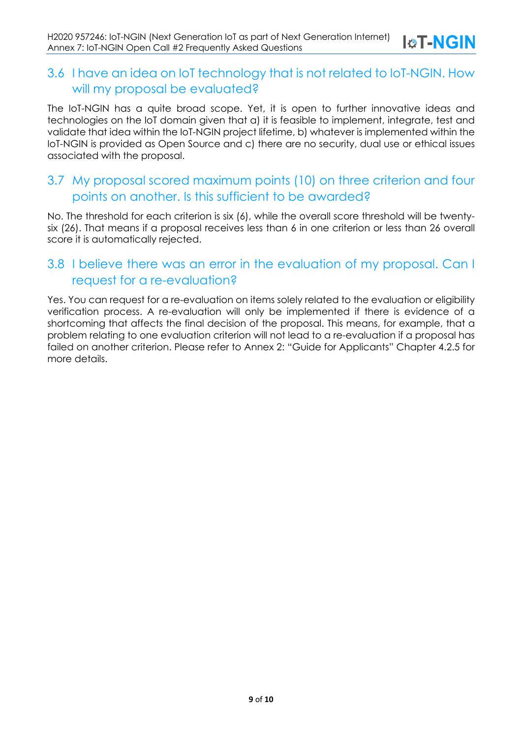### 3.6 I have an idea on IoT technology that is not related to IoT-NGIN. How will my proposal be evaluated?

The IoT-NGIN has a quite broad scope. Yet, it is open to further innovative ideas and technologies on the IoT domain given that a) it is feasible to implement, integrate, test and validate that idea within the IoT-NGIN project lifetime, b) whatever is implemented within the IoT-NGIN is provided as Open Source and c) there are no security, dual use or ethical issues associated with the proposal.

### 3.7 My proposal scored maximum points (10) on three criterion and four points on another. Is this sufficient to be awarded?

No. The threshold for each criterion is six (6), while the overall score threshold will be twentysix (26). That means if a proposal receives less than 6 in one criterion or less than 26 overall score it is automatically rejected.

### 3.8 I believe there was an error in the evaluation of my proposal. Can I request for a re-evaluation?

Yes. You can request for a re-evaluation on items solely related to the evaluation or eligibility verification process. A re-evaluation will only be implemented if there is evidence of a shortcoming that affects the final decision of the proposal. This means, for example, that a problem relating to one evaluation criterion will not lead to a re-evaluation if a proposal has failed on another criterion. Please refer to Annex 2: "Guide for Applicants" Chapter 4.2.5 for more details.